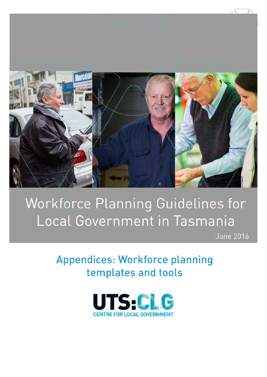

# Workforce Planning Guidelines for Local Government in Tasmania

**June 2016** 

**Appendices: Workforce planning** templates and tools

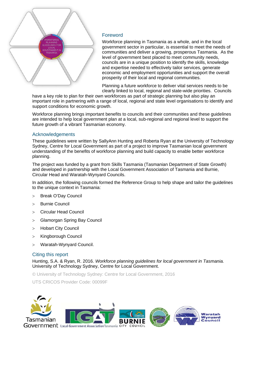

#### Foreword

Workforce planning in Tasmania as a whole, and in the local government sector in particular, is essential to meet the needs of communities and deliver a growing, prosperous Tasmania. As the level of government best placed to meet community needs, councils are in a unique position to identify the skills, knowledge and expertise needed to effectively tailor services, generate economic and employment opportunities and support the overall prosperity of their local and regional communities.

Planning a future workforce to deliver vital services needs to be clearly linked to local, regional and state-wide priorities. Councils

have a key role to plan for their own workforces as part of strategic planning but also play an important role in partnering with a range of local, regional and state level organisations to identify and support conditions for economic growth.

Workforce planning brings important benefits to councils and their communities and these guidelines are intended to help local government plan at a local, sub-regional and regional level to support the future growth of a vibrant Tasmanian economy.

#### Acknowledgements

These guidelines were written by SallyAnn Hunting and Roberta Ryan at the University of Technology Sydney, Centre for Local Government as part of a project to improve Tasmanian local government understanding of the benefits of workforce planning and build capacity to enable better workforce planning.

The project was funded by a grant from Skills Tasmania (Tasmanian Department of State Growth) and developed in partnership with the Local Government Association of Tasmania and Burnie, Circular Head and Waratah-Wynyard Councils.

In addition, the following councils formed the Reference Group to help shape and tailor the guidelines to the unique context in Tasmania:

- > Break O'Day Council
- > Burnie Council
- Circular Head Council
- Glamorgan Spring Bay Council
- > Hobart City Council
- > Kingborough Council
- Waratah-Wynyard Council.

#### Citing this report

Hunting, S.A. & Ryan, R. 2016. *Workforce planning guidelines for local government in Tasmania.*  University of Technology Sydney, Centre for Local Government.

© University of Technology Sydney: Centre for Local Government, 2016

UTS CRICOS Provider Code: 00099F

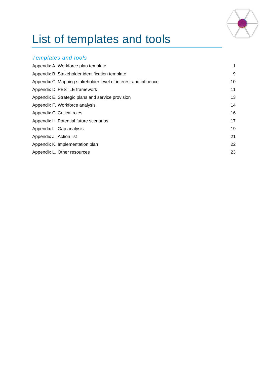

## List of templates and tools

### *Templates and tools*

| Appendix A. Workforce plan template                             | $\mathbf{1}$ |
|-----------------------------------------------------------------|--------------|
| Appendix B. Stakeholder identification template                 | 9            |
| Appendix C. Mapping stakeholder level of interest and influence | 10           |
| Appendix D. PESTLE framework                                    | 11           |
| Appendix E. Strategic plans and service provision               | 13           |
| Appendix F. Workforce analysis                                  | 14           |
| Appendix G. Critical roles                                      | 16           |
| Appendix H. Potential future scenarios                          | 17           |
| Appendix I. Gap analysis                                        | 19           |
| Appendix J. Action list                                         | 21           |
| Appendix K. Implementation plan                                 | 22           |
| Appendix L. Other resources                                     | 23           |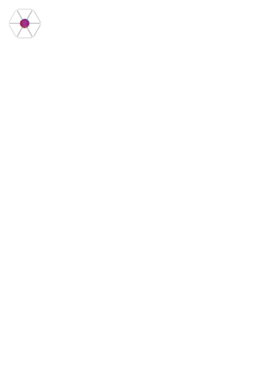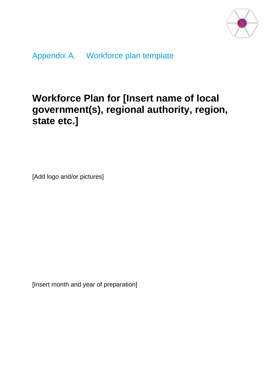

### Appendix A. Workforce plan template

### **Workforce Plan for [Insert name of local government(s), regional authority, region, state etc.]**

[Add logo and/or pictures]

[Insert month and year of preparation]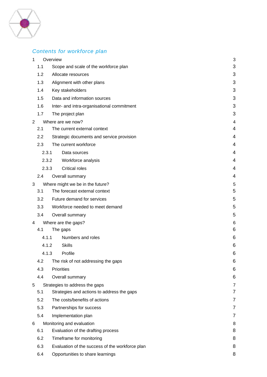

#### *Contents for workforce plan*

| 1 |       | Overview                                        |                |  |  |  |  |
|---|-------|-------------------------------------------------|----------------|--|--|--|--|
|   | 1.1   | Scope and scale of the workforce plan           |                |  |  |  |  |
|   | 1.2   | Allocate resources                              | 3              |  |  |  |  |
|   | 1.3   | Alignment with other plans                      | 3              |  |  |  |  |
|   | 1.4   | Key stakeholders                                | 3              |  |  |  |  |
|   | 1.5   | Data and information sources                    | 3              |  |  |  |  |
|   | 1.6   | Inter- and intra-organisational commitment      | 3              |  |  |  |  |
|   | 1.7   | The project plan                                | 3              |  |  |  |  |
| 2 |       | Where are we now?                               | 4              |  |  |  |  |
|   | 2.1   | The current external context                    | 4              |  |  |  |  |
|   | 2.2   | Strategic documents and service provision       | 4              |  |  |  |  |
|   | 2.3   | The current workforce                           | 4              |  |  |  |  |
|   | 2.3.1 | Data sources                                    | 4              |  |  |  |  |
|   | 2.3.2 | Workforce analysis                              | 4              |  |  |  |  |
|   | 2.3.3 | <b>Critical roles</b>                           | 4              |  |  |  |  |
|   | 2.4   | Overall summary                                 | 4              |  |  |  |  |
| 3 |       | Where might we be in the future?                | 5              |  |  |  |  |
|   | 3.1   | The forecast external context                   | 5              |  |  |  |  |
|   | 3.2   | Future demand for services                      | 5              |  |  |  |  |
|   | 3.3   | Workforce needed to meet demand                 | 5              |  |  |  |  |
|   | 3.4   | Overall summary                                 | 5              |  |  |  |  |
| 4 |       | Where are the gaps?                             | 6              |  |  |  |  |
|   | 4.1   | The gaps                                        | 6              |  |  |  |  |
|   | 4.1.1 | Numbers and roles                               | 6              |  |  |  |  |
|   | 4.1.2 | <b>Skills</b>                                   | 6              |  |  |  |  |
|   | 4.1.3 | Profile                                         | 6              |  |  |  |  |
|   | 4.2   | The risk of not addressing the gaps             | 6              |  |  |  |  |
|   | 4.3   | Priorities                                      | 6              |  |  |  |  |
|   | 4.4   | Overall summary                                 | 6              |  |  |  |  |
| 5 |       | Strategies to address the gaps                  | $\overline{7}$ |  |  |  |  |
|   | 5.1   | Strategies and actions to address the gaps      | 7              |  |  |  |  |
|   | 5.2   | The costs/benefits of actions                   | 7              |  |  |  |  |
|   | 5.3   | Partnerships for success                        | 7              |  |  |  |  |
|   | 5.4   | Implementation plan                             | 7              |  |  |  |  |
| 6 |       | Monitoring and evaluation                       | 8              |  |  |  |  |
|   | 6.1   | Evaluation of the drafting process              | 8              |  |  |  |  |
|   | 6.2   | Timeframe for monitoring                        | 8              |  |  |  |  |
|   | 6.3   | Evaluation of the success of the workforce plan | 8              |  |  |  |  |
|   | 6.4   | Opportunities to share learnings                | 8              |  |  |  |  |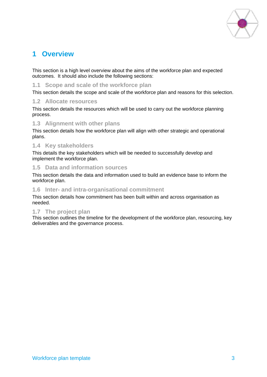

### **1 Overview**

This section is a high level overview about the aims of the workforce plan and expected outcomes. It should also include the following sections:

#### **1.1 Scope and scale of the workforce plan**

This section details the scope and scale of the workforce plan and reasons for this selection.

#### **1.2 Allocate resources**

This section details the resources which will be used to carry out the workforce planning process.

#### **1.3 Alignment with other plans**

This section details how the workforce plan will align with other strategic and operational plans.

#### **1.4 Key stakeholders**

This details the key stakeholders which will be needed to successfully develop and implement the workforce plan.

#### **1.5 Data and information sources**

This section details the data and information used to build an evidence base to inform the workforce plan.

#### **1.6 Inter- and intra-organisational commitment**

This section details how commitment has been built within and across organisation as needed.

#### **1.7 The project plan**

This section outlines the timeline for the development of the workforce plan, resourcing, key deliverables and the governance process.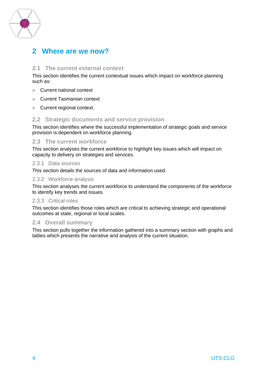

### **2 Where are we now?**

#### **2.1 The current external context**

This section identifies the current contextual issues which impact on workforce planning such as:

- Current national context
- Current Tasmanian context
- > Current regional context.

#### **2.2 Strategic documents and service provision**

This section identifies where the successful implementation of strategic goals and service provision is dependent on workforce planning.

#### **2.3 The current workforce**

This section analyses the current workforce to highlight key issues which will impact on capacity to delivery on strategies and services.

#### 2.3.1 Data sources

This section details the sources of data and information used.

#### 2.3.2 Workforce analysis

This section analyses the current workforce to understand the components of the workforce to identify key trends and issues.

#### 2.3.3 Critical roles

This section identifies those roles which are critical to achieving strategic and operational outcomes at state, regional or local scales.

#### **2.4 Overall summary**

This section pulls together the information gathered into a summary section with graphs and tables which presents the narrative and analysis of the current situation.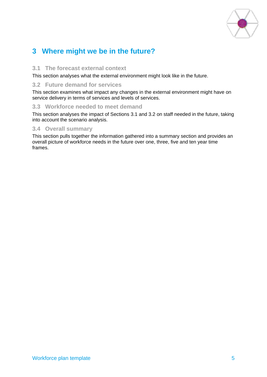

### **3 Where might we be in the future?**

#### **3.1 The forecast external context**

This section analyses what the external environment might look like in the future.

#### **3.2 Future demand for services**

This section examines what impact any changes in the external environment might have on service delivery in terms of services and levels of services.

#### **3.3 Workforce needed to meet demand**

This section analyses the impact of Sections 3.1 and 3.2 on staff needed in the future, taking into account the scenario analysis.

#### **3.4 Overall summary**

This section pulls together the information gathered into a summary section and provides an overall picture of workforce needs in the future over one, three, five and ten year time frames.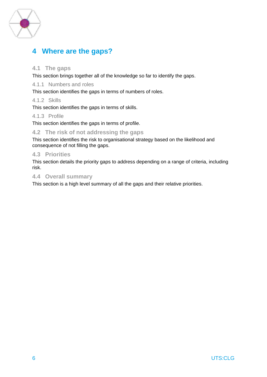

### **4 Where are the gaps?**

#### **4.1 The gaps**

This section brings together all of the knowledge so far to identify the gaps.

#### 4.1.1 Numbers and roles

This section identifies the gaps in terms of numbers of roles.

#### 4.1.2 Skills

This section identifies the gaps in terms of skills.

#### 4.1.3 Profile

This section identifies the gaps in terms of profile.

#### **4.2 The risk of not addressing the gaps**

This section identifies the risk to organisational strategy based on the likelihood and consequence of not filling the gaps.

#### **4.3 Priorities**

This section details the priority gaps to address depending on a range of criteria, including risk.

#### **4.4 Overall summary**

This section is a high level summary of all the gaps and their relative priorities.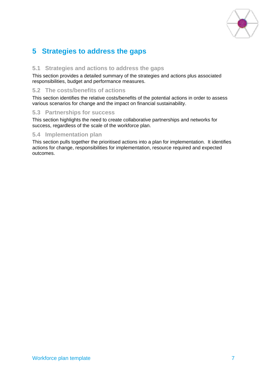

### **5 Strategies to address the gaps**

#### **5.1 Strategies and actions to address the gaps**

This section provides a detailed summary of the strategies and actions plus associated responsibilities, budget and performance measures.

#### **5.2 The costs/benefits of actions**

This section identifies the relative costs/benefits of the potential actions in order to assess various scenarios for change and the impact on financial sustainability.

#### **5.3 Partnerships for success**

This section highlights the need to create collaborative partnerships and networks for success, regardless of the scale of the workforce plan.

#### **5.4 Implementation plan**

This section pulls together the prioritised actions into a plan for implementation. It identifies actions for change, responsibilities for implementation, resource required and expected outcomes.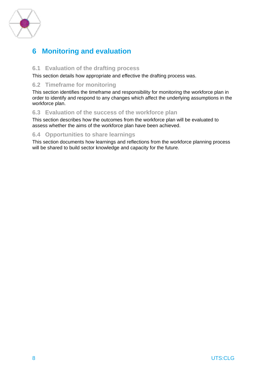

### **6 Monitoring and evaluation**

#### **6.1 Evaluation of the drafting process**

This section details how appropriate and effective the drafting process was.

#### **6.2 Timeframe for monitoring**

This section identifies the timeframe and responsibility for monitoring the workforce plan in order to identify and respond to any changes which affect the underlying assumptions in the workforce plan.

#### **6.3 Evaluation of the success of the workforce plan**

This section describes how the outcomes from the workforce plan will be evaluated to assess whether the aims of the workforce plan have been achieved.

#### **6.4 Opportunities to share learnings**

This section documents how learnings and reflections from the workforce planning process will be shared to build sector knowledge and capacity for the future.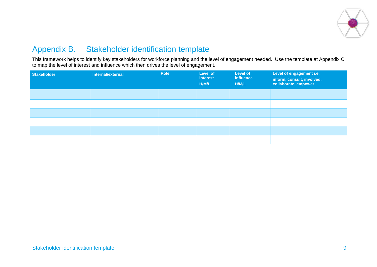

### Appendix B. Stakeholder identification template

This framework helps to identify key stakeholders for workforce planning and the level of engagement needed. Use the template at Appendix C to map the level of interest and influence which then drives the level of engagement.

| Stakeholder | Internal/external | <b>Role</b> | Level of<br>interest<br>H/M/L | <b>Level of</b><br>influence<br>H/M/L | Level of engagement i.e.<br>inform, consult, involved,<br>collaborate, empower |
|-------------|-------------------|-------------|-------------------------------|---------------------------------------|--------------------------------------------------------------------------------|
|             |                   |             |                               |                                       |                                                                                |
|             |                   |             |                               |                                       |                                                                                |
|             |                   |             |                               |                                       |                                                                                |
|             |                   |             |                               |                                       |                                                                                |
|             |                   |             |                               |                                       |                                                                                |
|             |                   |             |                               |                                       |                                                                                |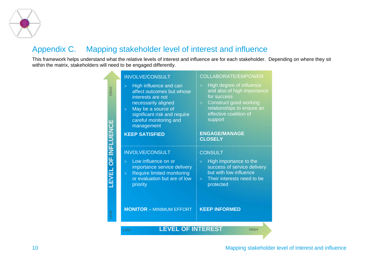

### Appendix C. Mapping stakeholder level of interest and influence

This framework helps understand what the relative levels of interest and influence are for each stakeholder. Depending on where they sit within the matrix, stakeholders will need to be engaged differently.

|                           | <b>INVOLVE/CONSULT</b>                                                                                                                                                                                            | <b>COLLABORATE/EMPOWER</b>                                                                                                                                                              |
|---------------------------|-------------------------------------------------------------------------------------------------------------------------------------------------------------------------------------------------------------------|-----------------------------------------------------------------------------------------------------------------------------------------------------------------------------------------|
| HIGH                      | High influence and can<br>$\geq$<br>affect outcomes but whose<br>interests are not<br>necessarily aligned<br>May be a source of<br>$\geq$<br>significant risk and require<br>careful monitoring and<br>management | High degree of influence<br>$\geq$<br>and also of high importance<br>for success<br>Construct good working<br>$\geq$<br>relationships to ensure an<br>effective coalition of<br>support |
|                           | <b>KEEP SATISFIED</b>                                                                                                                                                                                             | <b>ENGAGE/MANAGE</b><br><b>CLOSELY</b>                                                                                                                                                  |
| <b>LEVEL OF INFLUENCE</b> | <b>INVOLVE/CONSULT</b><br>Low influence on or<br>$\geq$<br>importance service delivery<br><b>Require limited monitoring</b><br>$\geq$<br>or evaluation but are of low<br>priority                                 | <b>CONSULT</b><br>High importance to the<br>$\geq$<br>success of service delivery<br>but with low influence<br>Their interests need to be<br>$\geq$<br>protected                        |
| NOT                       | <b>MONITOR - MINIMUM EFFORT</b>                                                                                                                                                                                   | <b>KEEP INFORMED</b>                                                                                                                                                                    |
|                           | <b>LEVEL OF INTEREST</b><br>LOW                                                                                                                                                                                   | <b>HIGH</b>                                                                                                                                                                             |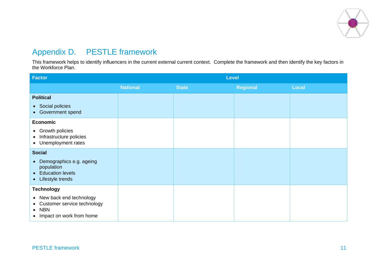

### Appendix D. PESTLE framework

This framework helps to identify influencers in the current external current context. Complete the framework and then identify the key factors in the Workforce Plan.

| <b>Factor</b>                                                                                                     | <b>Level</b>    |              |                 |              |
|-------------------------------------------------------------------------------------------------------------------|-----------------|--------------|-----------------|--------------|
|                                                                                                                   | <b>National</b> | <b>State</b> | <b>Regional</b> | <b>Local</b> |
| <b>Political</b>                                                                                                  |                 |              |                 |              |
| • Social policies<br>• Government spend                                                                           |                 |              |                 |              |
| <b>Economic</b>                                                                                                   |                 |              |                 |              |
| • Growth policies<br>Infrastructure policies<br>$\bullet$<br>• Unemployment rates                                 |                 |              |                 |              |
| <b>Social</b>                                                                                                     |                 |              |                 |              |
| Demographics e.g. ageing<br>$\bullet$<br>population<br><b>Education levels</b><br>$\bullet$<br>• Lifestyle trends |                 |              |                 |              |
| <b>Technology</b>                                                                                                 |                 |              |                 |              |
| • New back end technology<br>• Customer service technology<br>$\bullet$ NBN<br>• Impact on work from home         |                 |              |                 |              |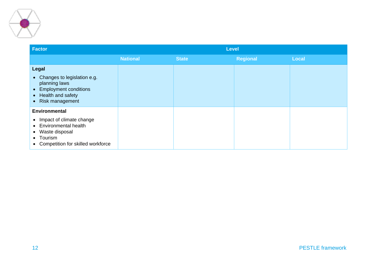

| <b>Factor</b><br><b>Level</b>                                                                                                                                                                                      |                 |              |                 |              |
|--------------------------------------------------------------------------------------------------------------------------------------------------------------------------------------------------------------------|-----------------|--------------|-----------------|--------------|
|                                                                                                                                                                                                                    | <b>National</b> | <b>State</b> | <b>Regional</b> | <b>Local</b> |
| <b>Legal</b><br>• Changes to legislation e.g.<br>planning laws<br><b>Employment conditions</b><br>$\bullet$<br>• Health and safety<br>• Risk management                                                            |                 |              |                 |              |
| <b>Environmental</b><br>Impact of climate change<br>$\bullet$<br><b>Environmental health</b><br>$\bullet$<br>Waste disposal<br>$\bullet$<br>Tourism<br>$\bullet$<br>Competition for skilled workforce<br>$\bullet$ |                 |              |                 |              |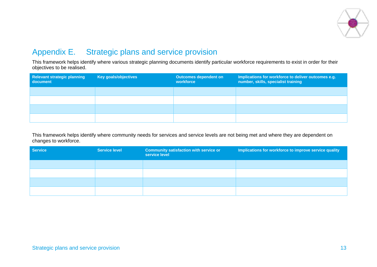

### Appendix E. Strategic plans and service provision

This framework helps identify where various strategic planning documents identify particular workforce requirements to exist in order for their objectives to be realised.

| <b>Relevant strategic planning</b><br>document | <b>Key goals/objectives</b> | <b>Outcomes dependent on</b><br>workforce | Implications for workforce to deliver outcomes e.g.<br>number, skills, specialist training |
|------------------------------------------------|-----------------------------|-------------------------------------------|--------------------------------------------------------------------------------------------|
|                                                |                             |                                           |                                                                                            |
|                                                |                             |                                           |                                                                                            |
|                                                |                             |                                           |                                                                                            |
|                                                |                             |                                           |                                                                                            |

This framework helps identify where community needs for services and service levels are not being met and where they are dependent on changes to workforce.

| <b>Service</b> | <b>Service level</b> | <b>Community satisfaction with service or</b><br>service level | Implications for workforce to improve service quality |
|----------------|----------------------|----------------------------------------------------------------|-------------------------------------------------------|
|                |                      |                                                                |                                                       |
|                |                      |                                                                |                                                       |
|                |                      |                                                                |                                                       |
|                |                      |                                                                |                                                       |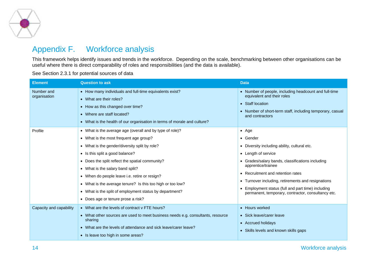

### Appendix F. Workforce analysis

This framework helps identify issues and trends in the workforce. Depending on the scale, benchmarking between other organisations can be useful where there is direct comparability of roles and responsibilities (and the data is available).

| <b>Element</b>             | <b>Question to ask</b>                                                                                                                                                                                                           | <b>Data</b>                                                                                                                                                                             |  |
|----------------------------|----------------------------------------------------------------------------------------------------------------------------------------------------------------------------------------------------------------------------------|-----------------------------------------------------------------------------------------------------------------------------------------------------------------------------------------|--|
| Number and<br>organisation | • How many individuals and full-time equivalents exist?<br>• What are their roles?<br>• How as this changed over time?<br>• Where are staff located?<br>• What is the health of our organisation in terms of morale and culture? | • Number of people, including headcount and full-time<br>equivalent and their roles<br>• Staff location<br>• Number of short-term staff, including temporary, casual<br>and contractors |  |
| Profile                    | • What is the average age (overall and by type of role)?                                                                                                                                                                         | $\bullet$ Age                                                                                                                                                                           |  |
|                            | • What is the most frequent age group?                                                                                                                                                                                           | • Gender                                                                                                                                                                                |  |
|                            | • What is the gender/diversity split by role?                                                                                                                                                                                    | • Diversity including ability, cultural etc.                                                                                                                                            |  |
|                            | • Is this split a good balance?                                                                                                                                                                                                  | • Length of service                                                                                                                                                                     |  |
|                            | • Does the split reflect the spatial community?                                                                                                                                                                                  | • Grades/salary bands, classifications including<br>apprentice/trainee                                                                                                                  |  |
|                            | • What is the salary band split?                                                                                                                                                                                                 | • Recruitment and retention rates                                                                                                                                                       |  |
|                            | • When do people leave i.e. retire or resign?                                                                                                                                                                                    | • Turnover including, retirements and resignations                                                                                                                                      |  |
|                            | • What is the average tenure? Is this too high or too low?                                                                                                                                                                       | Employment status (full and part time) including                                                                                                                                        |  |
|                            | • What is the split of employment status by department?                                                                                                                                                                          | permanent, temporary, contractor, consultancy etc.                                                                                                                                      |  |
|                            | • Does age or tenure prose a risk?                                                                                                                                                                                               |                                                                                                                                                                                         |  |
| Capacity and capability    | • What are the levels of contract v FTE hours?                                                                                                                                                                                   | • Hours worked                                                                                                                                                                          |  |
|                            | • What other sources are used to meet business needs e.g. consultants, resource<br>sharing                                                                                                                                       | • Sick leave/carer leave                                                                                                                                                                |  |
|                            | • What are the levels of attendance and sick leave/carer leave?                                                                                                                                                                  | • Accrued holidays                                                                                                                                                                      |  |
|                            |                                                                                                                                                                                                                                  | • Skills levels and known skills gaps                                                                                                                                                   |  |
|                            | • Is leave too high in some areas?                                                                                                                                                                                               |                                                                                                                                                                                         |  |

See Section 2.3.1 for potential sources of data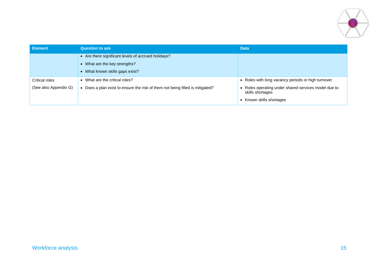

| <b>Element</b>        | <b>Question to ask</b>                                                               | <b>Data</b>                                                            |
|-----------------------|--------------------------------------------------------------------------------------|------------------------------------------------------------------------|
|                       | • Are there significant levels of accrued holidays?<br>• What are the key strengths? |                                                                        |
|                       | • What known skills gaps exist?                                                      |                                                                        |
| Critical roles        | • What are the critical roles?                                                       | • Roles with long vacancy periods or high turnover                     |
| (See also Appendix G) | • Does a plan exist to ensure the risk of them not being filled is mitigated?        | Roles operating under shared services model due to<br>skills shortages |
|                       |                                                                                      | • Known skills shortages                                               |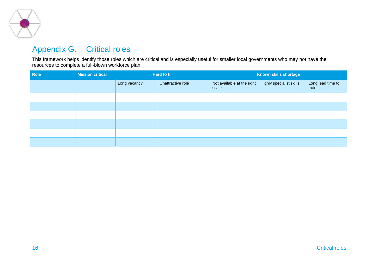

### Appendix G. Critical roles

This framework helps identify those roles which are critical and is especially useful for smaller local governments who may not have the resources to complete a full-blown workforce plan.

| <b>Role</b> | <b>Mission critical</b> |              | Hard to fill      |                                     | <b>Known skills shortage</b> |                            |
|-------------|-------------------------|--------------|-------------------|-------------------------------------|------------------------------|----------------------------|
|             |                         | Long vacancy | Unattractive role | Not available at the right<br>scale | Highly specialist skills     | Long lead time to<br>train |
|             |                         |              |                   |                                     |                              |                            |
|             |                         |              |                   |                                     |                              |                            |
|             |                         |              |                   |                                     |                              |                            |
|             |                         |              |                   |                                     |                              |                            |
|             |                         |              |                   |                                     |                              |                            |
|             |                         |              |                   |                                     |                              |                            |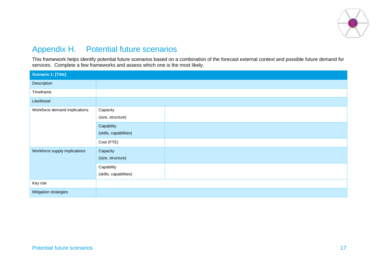

### Appendix H. Potential future scenarios

This framework helps identify potential future scenarios based on a combination of the forecast external context and possible future demand for services. Complete a few frameworks and assess which one is the most likely.

| Scenario 1: [Title]           |                                      |
|-------------------------------|--------------------------------------|
| Description                   |                                      |
| Timeframe                     |                                      |
| Likelihood                    |                                      |
| Workforce demand implications | Capacity<br>(size, structure)        |
|                               | Capability<br>(skills, capabilities) |
|                               | Cost (FTE)                           |
| Workforce supply implications | Capacity<br>(size, structure)        |
|                               | Capability<br>(skills, capabilities) |
| Key risk                      |                                      |
| Mitigation strategies         |                                      |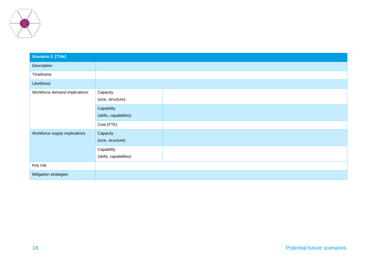

| <b>Scenario 2: [Title]</b>    |                                      |  |
|-------------------------------|--------------------------------------|--|
| Description                   |                                      |  |
| Timeframe                     |                                      |  |
| Likelihood                    |                                      |  |
| Workforce demand implications | Capacity<br>(size, structure)        |  |
|                               | Capability<br>(skills, capabilities) |  |
|                               | Cost (FTE)                           |  |
| Workforce supply implications | Capacity<br>(size, structure)        |  |
|                               | Capability<br>(skills, capabilities) |  |
| Key risk                      |                                      |  |
| Mitigation strategies         |                                      |  |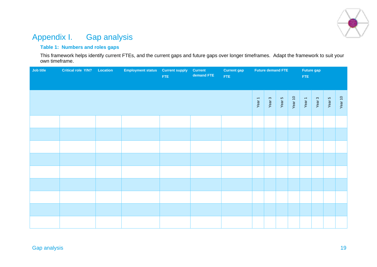

### Appendix I. Gap analysis

#### **Table 1: Numbers and roles gaps**

This framework helps identify current FTEs, and the current gaps and future gaps over longer timeframes. Adapt the framework to suit your own timeframe.

| Job title | <b>Critical role Y/N?</b> Location | <b>Employment status Current supply</b> | FTE: | <b>Current</b><br>demand FTE | <b>Current gap</b><br>FTE: | <b>Future demand FTE</b> |        | <b>Future gap</b><br>FTE. |         |                      |                   |        |         |
|-----------|------------------------------------|-----------------------------------------|------|------------------------------|----------------------------|--------------------------|--------|---------------------------|---------|----------------------|-------------------|--------|---------|
|           |                                    |                                         |      |                              |                            | Year <sub>1</sub>        | Year 3 | Year 5                    | Year 10 | $\overline{Y}$ ear 1 | Year <sub>3</sub> | Year 5 | Year 10 |
|           |                                    |                                         |      |                              |                            |                          |        |                           |         |                      |                   |        |         |
|           |                                    |                                         |      |                              |                            |                          |        |                           |         |                      |                   |        |         |
|           |                                    |                                         |      |                              |                            |                          |        |                           |         |                      |                   |        |         |
|           |                                    |                                         |      |                              |                            |                          |        |                           |         |                      |                   |        |         |
|           |                                    |                                         |      |                              |                            |                          |        |                           |         |                      |                   |        |         |
|           |                                    |                                         |      |                              |                            |                          |        |                           |         |                      |                   |        |         |
|           |                                    |                                         |      |                              |                            |                          |        |                           |         |                      |                   |        |         |
|           |                                    |                                         |      |                              |                            |                          |        |                           |         |                      |                   |        |         |
|           |                                    |                                         |      |                              |                            |                          |        |                           |         |                      |                   |        |         |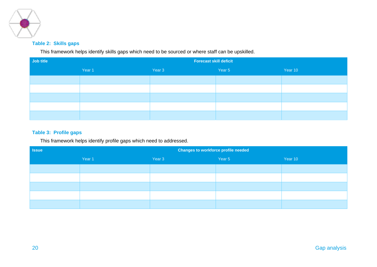

#### **Table 2: Skills gaps**

This framework helps identify skills gaps which need to be sourced or where staff can be upskilled.

| Job title |        |        | Forecast skill deficit |         |  |  |
|-----------|--------|--------|------------------------|---------|--|--|
|           | Year 1 | Year 3 | Year 5                 | Year 10 |  |  |
|           |        |        |                        |         |  |  |
|           |        |        |                        |         |  |  |
|           |        |        |                        |         |  |  |
|           |        |        |                        |         |  |  |
|           |        |        |                        |         |  |  |

#### **Table 3: Profile gaps**

This framework helps identify profile gaps which need to addressed.

| <b>Issue</b> | <b>Changes to workforce profile needed</b> |                   |        |         |  |  |  |  |
|--------------|--------------------------------------------|-------------------|--------|---------|--|--|--|--|
|              | Year 1                                     | Year <sub>3</sub> | Year 5 | Year 10 |  |  |  |  |
|              |                                            |                   |        |         |  |  |  |  |
|              |                                            |                   |        |         |  |  |  |  |
|              |                                            |                   |        |         |  |  |  |  |
|              |                                            |                   |        |         |  |  |  |  |
|              |                                            |                   |        |         |  |  |  |  |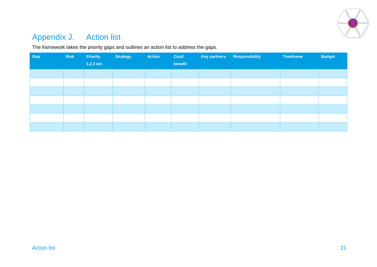

### Appendix J. Action list

The framework takes the priority gaps and outlines an action list to address the gaps.

| Gap | <b>Risk</b> | <b>Priority</b><br>$1,2,3$ etc. | <b>Strategy</b> | <b>Action</b> | Cost/<br>benefit | <b>Key partners</b> Responsibility | Timeframe | <b>Budget</b> |
|-----|-------------|---------------------------------|-----------------|---------------|------------------|------------------------------------|-----------|---------------|
|     |             |                                 |                 |               |                  |                                    |           |               |
|     |             |                                 |                 |               |                  |                                    |           |               |
|     |             |                                 |                 |               |                  |                                    |           |               |
|     |             |                                 |                 |               |                  |                                    |           |               |
|     |             |                                 |                 |               |                  |                                    |           |               |
|     |             |                                 |                 |               |                  |                                    |           |               |
|     |             |                                 |                 |               |                  |                                    |           |               |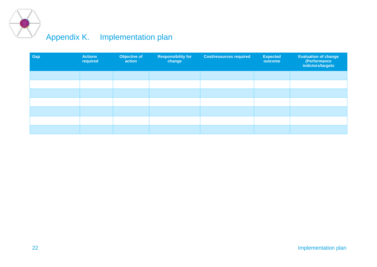

### Appendix K. Implementation plan

| Gap | <b>Actions</b><br>required | <b>Objective of</b><br>action | <b>Responsibility for</b><br>change | <b>Cost/resources required</b> | <b>Expected</b><br>outcome | <b>Evaluation of change</b><br>(Performance<br>indictors/targets |
|-----|----------------------------|-------------------------------|-------------------------------------|--------------------------------|----------------------------|------------------------------------------------------------------|
|     |                            |                               |                                     |                                |                            |                                                                  |
|     |                            |                               |                                     |                                |                            |                                                                  |
|     |                            |                               |                                     |                                |                            |                                                                  |
|     |                            |                               |                                     |                                |                            |                                                                  |
|     |                            |                               |                                     |                                |                            |                                                                  |
|     |                            |                               |                                     |                                |                            |                                                                  |
|     |                            |                               |                                     |                                |                            |                                                                  |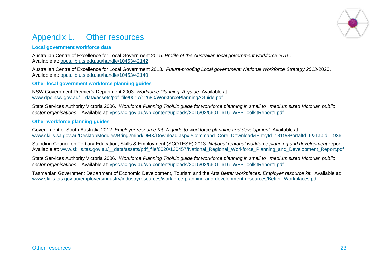

### Appendix L. Other resources

#### **Local government workforce data**

Australian Centre of Excellence for Local Government 2015. *Profile of the Australian local government workforce 2015*. Available at: opus.lib.uts.edu.au/handle/10453/42142

Australian Centre of Excellence for Local Government 2013. *Future-proofing Local government: National Workforce Strategy 2013-*2020. Available at: opus.lib.uts.edu.au/handle/10453/42140

#### **Other local government workforce planning guides**

NSW Government Premier's Department 2003. *Workforce Planning: A guide*. Available at: www.dpc.nsw.gov.au/\_\_data/assets/pdf\_file/0017/12680/WorkforcePlanningAGuide.pdf

State Services Authority Victoria 2006. *Workforce Planning Toolkit: guide for workforce planning in small to medium sized Victorian public sector organisations*. Available at: vpsc.vic.gov.au/wp-content/uploads/2015/02/5601\_616\_WFPToolkitReport1.pdf

#### **Other workforce planning guides**

Government of South Australia 2012. *Employer resource Kit: A guide to workforce planning and development*. Available at: www.skills.sa.gov.au/DesktopModules/Bring2mind/DMX/Download.aspx?Command=Core\_Download&EntryId=1819&PortalId=6&TabId=1936

Standing Council on Tertiary Education, Skills & Employment (SCOTESE) 2013. *National regional workforce planning and development* report. Available at: www.skills.tas.gov.au/ data/assets/pdf\_file/0020/130457/National\_Regional\_Workforce\_Planning\_and\_Development\_Report.pdf

State Services Authority Victoria 2006. *Workforce Planning Toolkit: guide for workforce planning in small to medium sized Victorian public sector organisations*. Available at: vpsc.vic.gov.au/wp-content/uploads/2015/02/5601\_616\_WFPToolkitReport1.pdf

Tasmanian Government Department of Economic Development, Tourism and the Arts *Better workplaces: Employer resource kit.* Available at: www.skills.tas.gov.au/employersindustry/industryresources/workforce-planning-and-development-resources/Better\_Workplaces.pdf